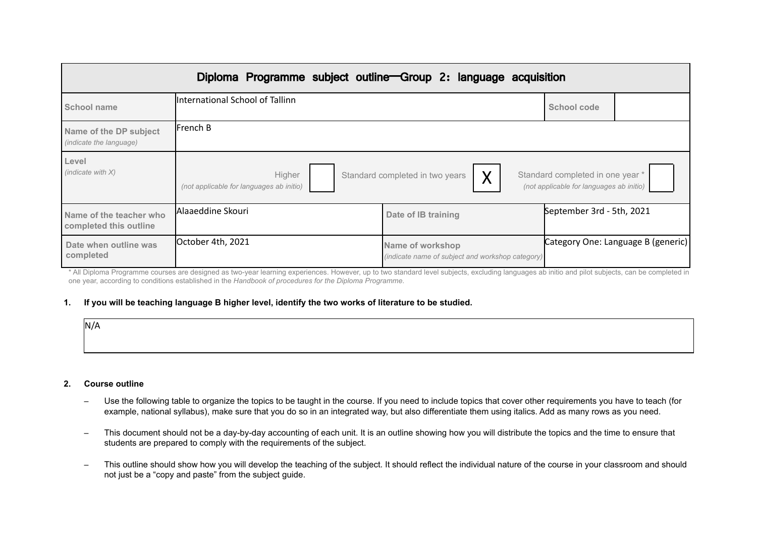| Diploma Programme subject outline Group 2: language acquisition |                                                    |                                                                      |                                                                              |
|-----------------------------------------------------------------|----------------------------------------------------|----------------------------------------------------------------------|------------------------------------------------------------------------------|
| <b>School name</b>                                              | International School of Tallinn                    |                                                                      | School code                                                                  |
| Name of the DP subject<br>(indicate the language)               | French B                                           |                                                                      |                                                                              |
| Level<br>(indicate with $X$ )                                   | Higher<br>(not applicable for languages ab initio) | Х<br>Standard completed in two years                                 | Standard completed in one year *<br>(not applicable for languages ab initio) |
| Name of the teacher who<br>completed this outline               | Alaaeddine Skouri                                  | Date of IB training                                                  | September 3rd - 5th, 2021                                                    |
| Date when outline was<br>completed                              | October 4th, 2021                                  | Name of workshop<br>(indicate name of subject and workshop category) | Category One: Language B (generic)                                           |

\* All Diploma Programme courses are designed as two-year learning experiences. However, up to two standard level subjects, excluding languages ab initio and pilot subjects, can be completed in one year, according to conditions established in the *Handbook of procedures for the Diploma Programme*.

# **1. If you will be teaching language B higher level, identify the two works of literature to be studied.**

| N/A |  |
|-----|--|
|     |  |

# **2. Course outline**

- Use the following table to organize the topics to be taught in the course. If you need to include topics that cover other requirements you have to teach (for example, national syllabus), make sure that you do so in an integrated way, but also differentiate them using italics. Add as many rows as you need.
- This document should not be a day-by-day accounting of each unit. It is an outline showing how you will distribute the topics and the time to ensure that students are prepared to comply with the requirements of the subject.
- This outline should show how you will develop the teaching of the subject. It should reflect the individual nature of the course in your classroom and should not just be a "copy and paste" from the subject guide.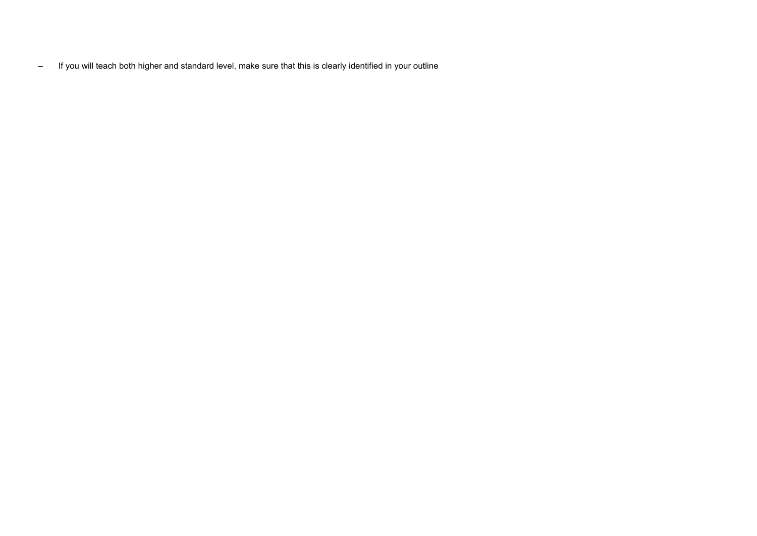– If you will teach both higher and standard level, make sure that this is clearly identified in your outline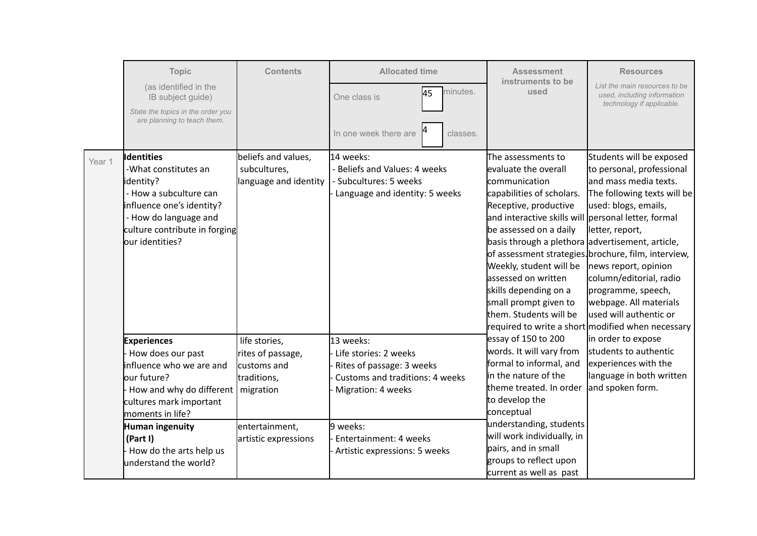|        | <b>Topic</b>                                                     | <b>Contents</b>                     | <b>Allocated time</b>                      | <b>Assessment</b>                                   | <b>Resources</b>                                                                          |
|--------|------------------------------------------------------------------|-------------------------------------|--------------------------------------------|-----------------------------------------------------|-------------------------------------------------------------------------------------------|
|        | (as identified in the<br>IB subject guide)                       |                                     | minutes.<br>45<br>One class is             | instruments to be<br>used                           | List the main resources to be<br>used, including information<br>technology if applicable. |
|        | State the topics in the order you<br>are planning to teach them. |                                     | In one week there are<br>classes.          |                                                     |                                                                                           |
|        |                                                                  |                                     |                                            |                                                     |                                                                                           |
| Year 1 | <b>Identities</b><br>-What constitutes an                        | beliefs and values,<br>subcultures, | 14 weeks:<br>- Beliefs and Values: 4 weeks | The assessments to<br>evaluate the overall          | Students will be exposed<br>to personal, professional                                     |
|        | identity?                                                        | language and identity               | - Subcultures: 5 weeks                     | communication                                       | and mass media texts.                                                                     |
|        | - How a subculture can                                           |                                     | Language and identity: 5 weeks             | capabilities of scholars.                           | The following texts will be                                                               |
|        | influence one's identity?                                        |                                     |                                            | Receptive, productive                               | used: blogs, emails,                                                                      |
|        | How do language and                                              |                                     |                                            | and interactive skills will personal letter, formal |                                                                                           |
|        | culture contribute in forging                                    |                                     |                                            | be assessed on a daily                              | letter, report,                                                                           |
|        | lour identities?                                                 |                                     |                                            | basis through a plethora advertisement, article,    |                                                                                           |
|        |                                                                  |                                     |                                            |                                                     | of assessment strategies. brochure, film, interview,                                      |
|        |                                                                  |                                     |                                            | Weekly, student will be                             | news report, opinion                                                                      |
|        |                                                                  |                                     |                                            | assessed on written                                 | column/editorial, radio                                                                   |
|        |                                                                  |                                     |                                            | skills depending on a                               | programme, speech,                                                                        |
|        |                                                                  |                                     |                                            | small prompt given to                               | webpage. All materials                                                                    |
|        |                                                                  |                                     |                                            | <b>l</b> them. Students will be                     | lused will authentic or                                                                   |
|        |                                                                  |                                     |                                            |                                                     | required to write a short modified when necessary                                         |
|        | <b>Experiences</b>                                               | life stories,                       | 13 weeks:                                  | essay of 150 to 200                                 | in order to expose                                                                        |
|        | How does our past                                                | rites of passage,                   | Life stories: 2 weeks                      | words. It will vary from                            | students to authentic                                                                     |
|        | influence who we are and                                         | lcustoms and                        | Rites of passage: 3 weeks                  | formal to informal, and                             | experiences with the                                                                      |
|        | lour future?                                                     | traditions,                         | Customs and traditions: 4 weeks            | in the nature of the                                | language in both written                                                                  |
|        | How and why do different   migration                             |                                     | Migration: 4 weeks                         | theme treated. In order                             | and spoken form.                                                                          |
|        | cultures mark important                                          |                                     |                                            | to develop the<br>conceptual                        |                                                                                           |
|        | moments in life?                                                 |                                     |                                            | understanding, students                             |                                                                                           |
|        | Human ingenuity                                                  | lentertainment,                     | 9 weeks:                                   | will work individually, in                          |                                                                                           |
|        | (Part I)                                                         | artistic expressions                | Entertainment: 4 weeks                     | pairs, and in small                                 |                                                                                           |
|        | How do the arts help us<br>understand the world?                 |                                     | Artistic expressions: 5 weeks              | groups to reflect upon                              |                                                                                           |
|        |                                                                  |                                     |                                            | current as well as past                             |                                                                                           |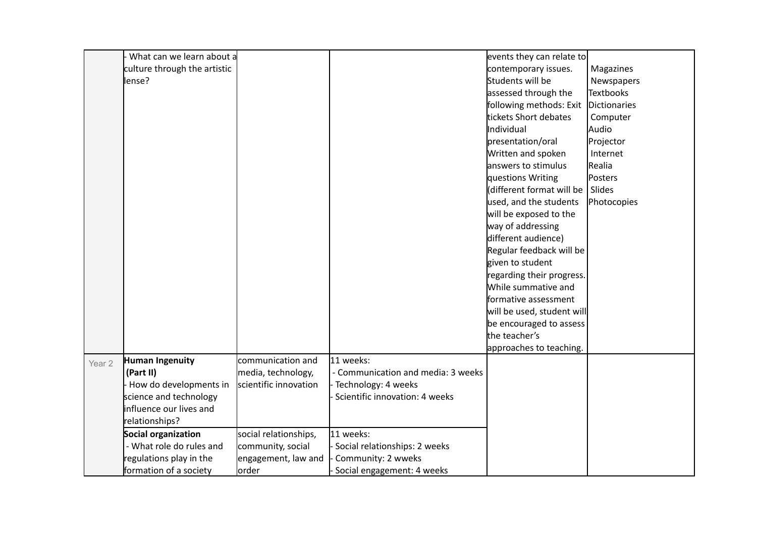|                   | What can we learn about a    |                       |                                    | events they can relate to  |                     |
|-------------------|------------------------------|-----------------------|------------------------------------|----------------------------|---------------------|
|                   | culture through the artistic |                       |                                    | contemporary issues.       | Magazines           |
|                   | lense?                       |                       |                                    | Students will be           | Newspapers          |
|                   |                              |                       |                                    | assessed through the       | <b>Textbooks</b>    |
|                   |                              |                       |                                    | following methods: Exit    | <b>Dictionaries</b> |
|                   |                              |                       |                                    | tickets Short debates      | Computer            |
|                   |                              |                       |                                    | Individual                 | Audio               |
|                   |                              |                       |                                    | presentation/oral          | Projector           |
|                   |                              |                       |                                    | Written and spoken         | Internet            |
|                   |                              |                       |                                    | lanswers to stimulus       | Realia              |
|                   |                              |                       |                                    | questions Writing          | Posters             |
|                   |                              |                       |                                    | (different format will be  | Slides              |
|                   |                              |                       |                                    | used, and the students     | Photocopies         |
|                   |                              |                       |                                    | will be exposed to the     |                     |
|                   |                              |                       |                                    | way of addressing          |                     |
|                   |                              |                       |                                    | different audience)        |                     |
|                   |                              |                       |                                    | Regular feedback will be   |                     |
|                   |                              |                       |                                    | given to student           |                     |
|                   |                              |                       |                                    | regarding their progress.  |                     |
|                   |                              |                       |                                    | While summative and        |                     |
|                   |                              |                       |                                    | formative assessment       |                     |
|                   |                              |                       |                                    | will be used, student will |                     |
|                   |                              |                       |                                    | be encouraged to assess    |                     |
|                   |                              |                       |                                    | the teacher's              |                     |
|                   |                              |                       |                                    | approaches to teaching.    |                     |
| Year <sub>2</sub> | Human Ingenuity              | communication and     | 11 weeks:                          |                            |                     |
|                   | (Part II)                    | media, technology,    | - Communication and media: 3 weeks |                            |                     |
|                   | How do developments in       | scientific innovation | Technology: 4 weeks                |                            |                     |
|                   | science and technology       |                       | Scientific innovation: 4 weeks     |                            |                     |
|                   | influence our lives and      |                       |                                    |                            |                     |
|                   | relationships?               |                       |                                    |                            |                     |
|                   | Social organization          | social relationships, | 11 weeks:                          |                            |                     |
|                   | - What role do rules and     | community, social     | Social relationships: 2 weeks      |                            |                     |
|                   | regulations play in the      | engagement, law and   | Community: 2 wweks                 |                            |                     |
|                   | formation of a society       | lorder                | Social engagement: 4 weeks         |                            |                     |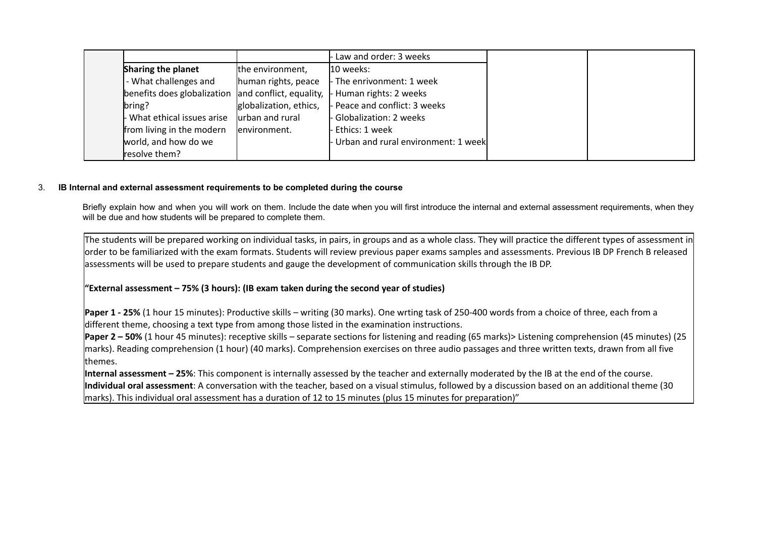|                                                                     |                        | Law and order: 3 weeks              |  |
|---------------------------------------------------------------------|------------------------|-------------------------------------|--|
| Sharing the planet                                                  | the environment,       | 10 weeks:                           |  |
| - What challenges and                                               | human rights, peace    | - The enrivonment: 1 week           |  |
| $\beta$ benefits does globalization and conflict, equality, $\beta$ |                        | Human rights: 2 weeks               |  |
| bring?                                                              | globalization, ethics, | Peace and conflict: 3 weeks         |  |
| - What ethical issues arise                                         | lurban and rural       | - Globalization: 2 weeks            |  |
| from living in the modern                                           | lenvironment.          | Ethics: 1 week                      |  |
| world, and how do we                                                |                        | Urban and rural environment: 1 week |  |
| resolve them?                                                       |                        |                                     |  |

# 3. **IB Internal and external assessment requirements to be completed during the course**

Briefly explain how and when you will work on them. Include the date when you will first introduce the internal and external assessment requirements, when they will be due and how students will be prepared to complete them.

The students will be prepared working on individual tasks, in pairs, in groups and as a whole class. They will practice the different types of assessment in order to be familiarized with the exam formats. Students will review previous paper exams samples and assessments. Previous IB DP French B released assessments will be used to prepare students and gauge the development of communication skills through the IB DP.

**"External assessment – 75% (3 hours): (IB exam taken during the second year of studies)**

**Paper 1 - 25%** (1 hour 15 minutes): Productive skills – writing (30 marks). One wrting task of 250-400 words from a choice of three, each from a different theme, choosing a text type from among those listed in the examination instructions.

**Paper 2 – 50%** (1 hour 45 minutes): receptive skills – separate sections for listening and reading (65 marks)> Listening comprehension (45 minutes) (25 marks). Reading comprehension (1 hour) (40 marks). Comprehension exercises on three audio passages and three written texts, drawn from all five themes.

**Internal assessment – 25%**: This component is internally assessed by the teacher and externally moderated by the IB at the end of the course. **Individual oral assessment**: A conversation with the teacher, based on a visual stimulus, followed by a discussion based on an additional theme (30 marks). This individual oral assessment has a duration of 12 to 15 minutes (plus 15 minutes for preparation)"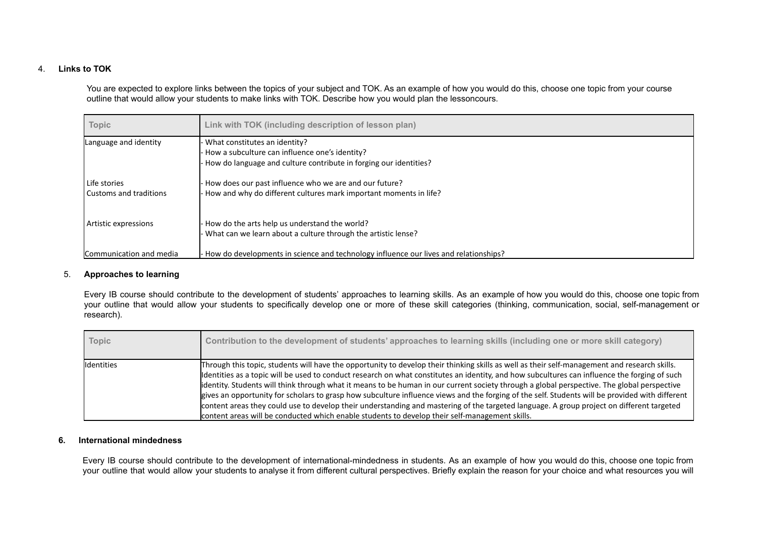# 4. **Links to TOK**

You are expected to explore links between the topics of your subject and TOK. As an example of how you would do this, choose one topic from your course outline that would allow your students to make links with TOK. Describe how you would plan the lessoncours.

| <b>Topic</b>                                  | Link with TOK (including description of lesson plan)                                                                                                 |
|-----------------------------------------------|------------------------------------------------------------------------------------------------------------------------------------------------------|
| Language and identity                         | What constitutes an identity?<br>How a subculture can influence one's identity?<br>How do language and culture contribute in forging our identities? |
| Life stories<br><b>Customs and traditions</b> | How does our past influence who we are and our future?<br>How and why do different cultures mark important moments in life?                          |
| Artistic expressions                          | How do the arts help us understand the world?<br>What can we learn about a culture through the artistic lense?                                       |
| Communication and media                       | How do developments in science and technology influence our lives and relationships?                                                                 |

# 5. **Approaches to learning**

Every IB course should contribute to the development of students' approaches to learning skills. As an example of how you would do this, choose one topic from your outline that would allow your students to specifically develop one or more of these skill categories (thinking, communication, social, self-management or research).

| Topic      | Contribution to the development of students' approaches to learning skills (including one or more skill category)                                                                                                                                                                                                                                                                                                                                                                                                                                                                                                                                                                                                                                                                                                                                |
|------------|--------------------------------------------------------------------------------------------------------------------------------------------------------------------------------------------------------------------------------------------------------------------------------------------------------------------------------------------------------------------------------------------------------------------------------------------------------------------------------------------------------------------------------------------------------------------------------------------------------------------------------------------------------------------------------------------------------------------------------------------------------------------------------------------------------------------------------------------------|
| Identities | Through this topic, students will have the opportunity to develop their thinking skills as well as their self-management and research skills.<br>Identities as a topic will be used to conduct research on what constitutes an identity, and how subcultures can influence the forging of such<br>lidentity. Students will think through what it means to be human in our current society through a global perspective. The global perspective<br>gives an opportunity for scholars to grasp how subculture influence views and the forging of the self. Students will be provided with different<br>content areas they could use to develop their understanding and mastering of the targeted language. A group project on different targeted<br>content areas will be conducted which enable students to develop their self-management skills. |

# **6. International mindedness**

Every IB course should contribute to the development of international-mindedness in students. As an example of how you would do this, choose one topic from your outline that would allow your students to analyse it from different cultural perspectives. Briefly explain the reason for your choice and what resources you will